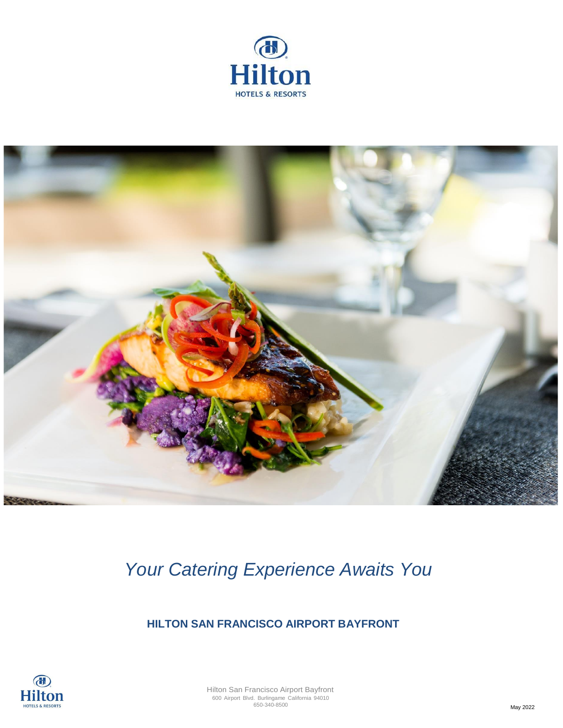



*Your Catering Experience Awaits You* 

 **HILTON SAN FRANCISCO AIRPORT BAYFRONT**

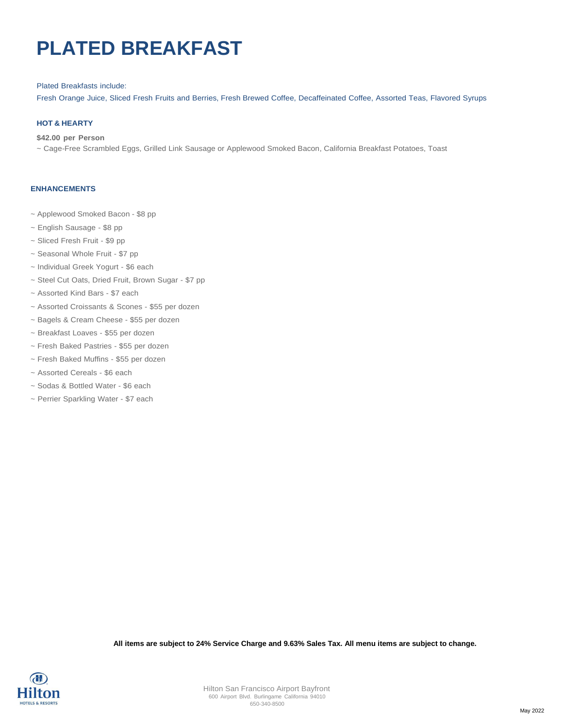## **PLATED BREAKFAST**

#### Plated Breakfasts include:

Fresh Orange Juice, Sliced Fresh Fruits and Berries, Fresh Brewed Coffee, Decaffeinated Coffee, Assorted Teas, Flavored Syrups

#### **HOT & HEARTY**

#### **\$42.00 per Person**

~ Cage-Free Scrambled Eggs, Grilled Link Sausage or Applewood Smoked Bacon, California Breakfast Potatoes, Toast

#### **ENHANCEMENTS**

- ~ Applewood Smoked Bacon \$8 pp
- ~ English Sausage \$8 pp
- ~ Sliced Fresh Fruit \$9 pp
- ~ Seasonal Whole Fruit \$7 pp
- ~ Individual Greek Yogurt \$6 each
- ~ Steel Cut Oats, Dried Fruit, Brown Sugar \$7 pp
- ~ Assorted Kind Bars \$7 each
- ~ Assorted Croissants & Scones \$55 per dozen
- ~ Bagels & Cream Cheese \$55 per dozen
- ~ Breakfast Loaves \$55 per dozen
- ~ Fresh Baked Pastries \$55 per dozen
- ~ Fresh Baked Muffins \$55 per dozen
- ~ Assorted Cereals \$6 each
- ~ Sodas & Bottled Water \$6 each
- ~ Perrier Sparkling Water \$7 each

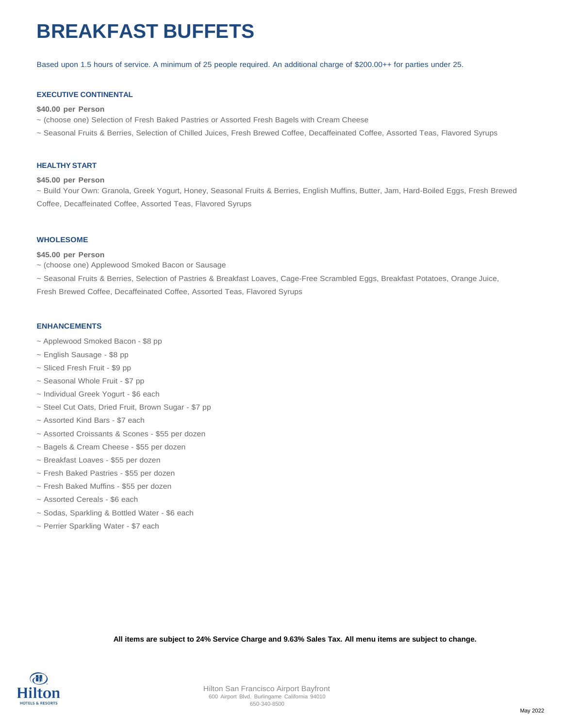## **BREAKFAST BUFFETS**

Based upon 1.5 hours of service. A minimum of 25 people required. An additional charge of \$200.00++ for parties under 25.

#### **EXECUTIVE CONTINENTAL**

#### **\$40.00 per Person**

- ~ (choose one) Selection of Fresh Baked Pastries or Assorted Fresh Bagels with Cream Cheese
- ~ Seasonal Fruits & Berries, Selection of Chilled Juices, Fresh Brewed Coffee, Decaffeinated Coffee, Assorted Teas, Flavored Syrups

#### **HEALTHY START**

#### **\$45.00 per Person**

~ Build Your Own: Granola, Greek Yogurt, Honey, Seasonal Fruits & Berries, English Muffins, Butter, Jam, Hard-Boiled Eggs, Fresh Brewed Coffee, Decaffeinated Coffee, Assorted Teas, Flavored Syrups

#### **WHOLESOME**

#### **\$45.00 per Person**

~ (choose one) Applewood Smoked Bacon or Sausage

~ Seasonal Fruits & Berries, Selection of Pastries & Breakfast Loaves, Cage-Free Scrambled Eggs, Breakfast Potatoes, Orange Juice, Fresh Brewed Coffee, Decaffeinated Coffee, Assorted Teas, Flavored Syrups

#### **ENHANCEMENTS**

- ~ Applewood Smoked Bacon \$8 pp
- ~ English Sausage \$8 pp
- ~ Sliced Fresh Fruit \$9 pp
- ~ Seasonal Whole Fruit \$7 pp
- ~ Individual Greek Yogurt \$6 each
- ~ Steel Cut Oats, Dried Fruit, Brown Sugar \$7 pp
- ~ Assorted Kind Bars \$7 each
- ~ Assorted Croissants & Scones \$55 per dozen
- ~ Bagels & Cream Cheese \$55 per dozen
- ~ Breakfast Loaves \$55 per dozen
- ~ Fresh Baked Pastries \$55 per dozen
- ~ Fresh Baked Muffins \$55 per dozen
- ~ Assorted Cereals \$6 each
- ~ Sodas, Sparkling & Bottled Water \$6 each
- ~ Perrier Sparkling Water \$7 each

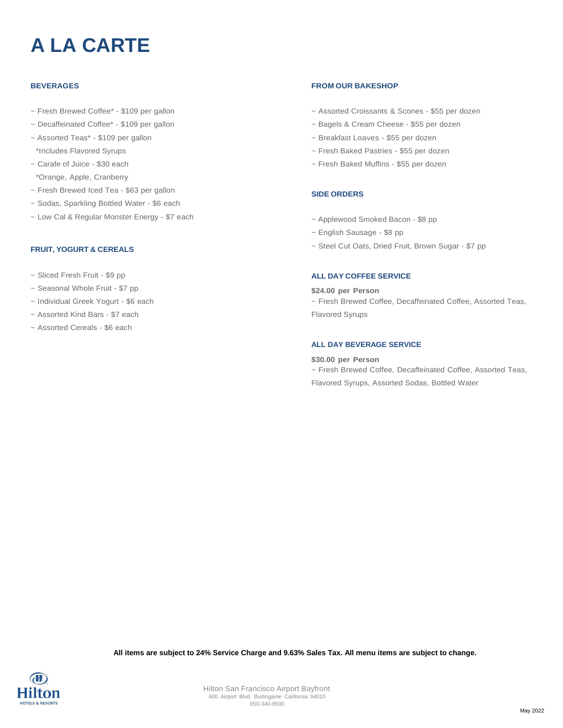# **A LA CARTE**

#### **BEVERAGES**

- ~ Fresh Brewed Coffee\* \$109 per gallon
- ~ Decaffeinated Coffee\* \$109 per gallon
- ~ Assorted Teas\* \$109 per gallon \*Includes Flavored Syrups
- ~ Carafe of Juice \$30 each \*Orange, Apple, Cranberry
- ~ Fresh Brewed Iced Tea \$63 per gallon
- ~ Sodas, Sparkling Bottled Water \$6 each
- ~ Low Cal & Regular Monster Energy \$7 each

#### **FRUIT, YOGURT & CEREALS**

- ~ Sliced Fresh Fruit \$9 pp
- ~ Seasonal Whole Fruit \$7 pp
- ~ Individual Greek Yogurt \$6 each
- ~ Assorted Kind Bars \$7 each
- ~ Assorted Cereals \$6 each

#### **FROM OUR BAKESHOP**

- ~ Assorted Croissants & Scones \$55 per dozen
- ~ Bagels & Cream Cheese \$55 per dozen
- ~ Breakfast Loaves \$55 per dozen
- ~ Fresh Baked Pastries \$55 per dozen
- ~ Fresh Baked Muffins \$55 per dozen

#### **SIDE ORDERS**

- ~ Applewood Smoked Bacon \$8 pp
- ~ English Sausage \$8 pp
- ~ Steel Cut Oats, Dried Fruit, Brown Sugar \$7 pp

#### **ALL DAY COFFEE SERVICE**

#### **\$24.00 per Person**

~ Fresh Brewed Coffee, Decaffeinated Coffee, Assorted Teas, Flavored Syrups

#### **ALL DAY BEVERAGE SERVICE**

#### **\$30.00 per Person**

~ Fresh Brewed Coffee, Decaffeinated Coffee, Assorted Teas, Flavored Syrups, Assorted Sodas, Bottled Water

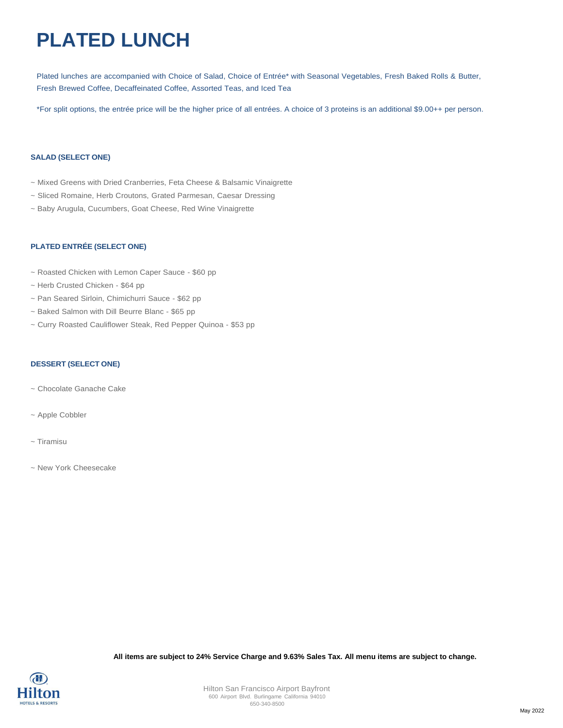# **PLATED LUNCH**

Plated lunches are accompanied with Choice of Salad, Choice of Entrée\* with Seasonal Vegetables, Fresh Baked Rolls & Butter, Fresh Brewed Coffee, Decaffeinated Coffee, Assorted Teas, and Iced Tea

\*For split options, the entrée price will be the higher price of all entrées. A choice of 3 proteins is an additional \$9.00++ per person.

#### **SALAD (SELECT ONE)**

- ~ Mixed Greens with Dried Cranberries, Feta Cheese & Balsamic Vinaigrette
- ~ Sliced Romaine, Herb Croutons, Grated Parmesan, Caesar Dressing
- ~ Baby Arugula, Cucumbers, Goat Cheese, Red Wine Vinaigrette

#### **PLATED ENTRÉE (SELECT ONE)**

- ~ Roasted Chicken with Lemon Caper Sauce \$60 pp
- ~ Herb Crusted Chicken \$64 pp
- ~ Pan Seared Sirloin, Chimichurri Sauce \$62 pp
- ~ Baked Salmon with Dill Beurre Blanc \$65 pp
- ~ Curry Roasted Cauliflower Steak, Red Pepper Quinoa \$53 pp

#### **DESSERT (SELECT ONE)**

- ~ Chocolate Ganache Cake
- ~ Apple Cobbler
- ~ Tiramisu
- ~ New York Cheesecake

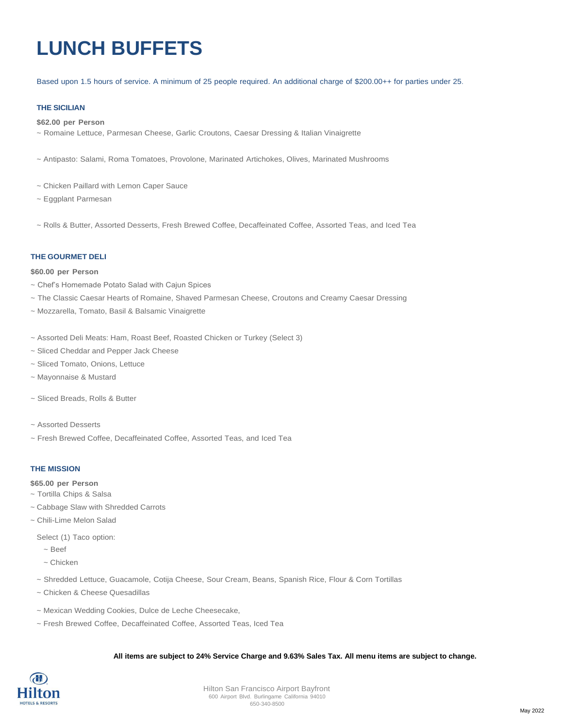# **LUNCH BUFFETS**

#### Based upon 1.5 hours of service. A minimum of 25 people required. An additional charge of \$200.00++ for parties under 25.

#### **THE SICILIAN**

#### **\$62.00 per Person**

- ~ Romaine Lettuce, Parmesan Cheese, Garlic Croutons, Caesar Dressing & Italian Vinaigrette
- ~ Antipasto: Salami, Roma Tomatoes, Provolone, Marinated Artichokes, Olives, Marinated Mushrooms
- ~ Chicken Paillard with Lemon Caper Sauce
- ~ Eggplant Parmesan
- ~ Rolls & Butter, Assorted Desserts, Fresh Brewed Coffee, Decaffeinated Coffee, Assorted Teas, and Iced Tea

#### **THE GOURMET DELI**

#### **\$60.00 per Person**

- ~ Chef's Homemade Potato Salad with Cajun Spices
- ~ The Classic Caesar Hearts of Romaine, Shaved Parmesan Cheese, Croutons and Creamy Caesar Dressing
- ~ Mozzarella, Tomato, Basil & Balsamic Vinaigrette
- ~ Assorted Deli Meats: Ham, Roast Beef, Roasted Chicken or Turkey (Select 3)
- ~ Sliced Cheddar and Pepper Jack Cheese
- ~ Sliced Tomato, Onions, Lettuce
- ~ Mayonnaise & Mustard
- ~ Sliced Breads, Rolls & Butter
- ~ Assorted Desserts
- ~ Fresh Brewed Coffee, Decaffeinated Coffee, Assorted Teas, and Iced Tea

#### **THE MISSION**

- **\$65.00 per Person**
- ~ Tortilla Chips & Salsa
- ~ Cabbage Slaw with Shredded Carrots
- ~ Chili-Lime Melon Salad

Select (1) Taco option:

- ~ Beef
- ~ Chicken
- ~ Shredded Lettuce, Guacamole, Cotija Cheese, Sour Cream, Beans, Spanish Rice, Flour & Corn Tortillas
- ~ Chicken & Cheese Quesadillas
- ~ Mexican Wedding Cookies, Dulce de Leche Cheesecake,
- ~ Fresh Brewed Coffee, Decaffeinated Coffee, Assorted Teas, Iced Tea

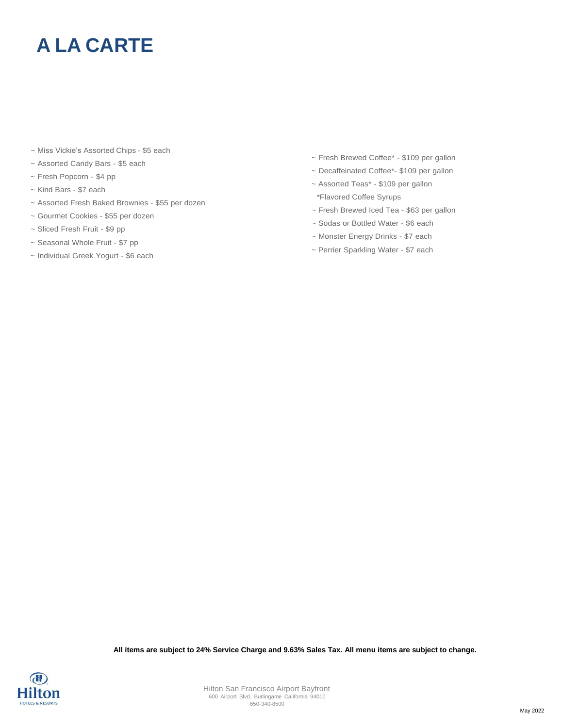## **A LA CARTE**

- ~ Miss Vickie's Assorted Chips \$5 each
- ~ Assorted Candy Bars \$5 each
- ~ Fresh Popcorn \$4 pp
- ~ Kind Bars \$7 each
- ~ Assorted Fresh Baked Brownies \$55 per dozen
- ~ Gourmet Cookies \$55 per dozen
- ~ Sliced Fresh Fruit \$9 pp
- ~ Seasonal Whole Fruit \$7 pp
- ~ Individual Greek Yogurt \$6 each
- ~ Fresh Brewed Coffee\* \$109 per gallon
- ~ Decaffeinated Coffee\*- \$109 per gallon
- ~ Assorted Teas\* \$109 per gallon \*Flavored Coffee Syrups
- ~ Fresh Brewed Iced Tea \$63 per gallon
- ~ Sodas or Bottled Water \$6 each
- ~ Monster Energy Drinks \$7 each
- ~ Perrier Sparkling Water \$7 each

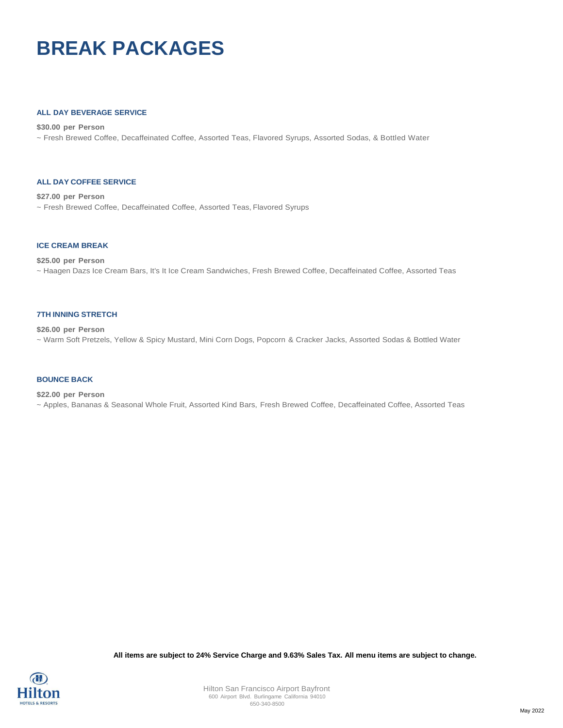## **BREAK PACKAGES**

#### **ALL DAY BEVERAGE SERVICE**

**\$30.00 per Person** ~ Fresh Brewed Coffee, Decaffeinated Coffee, Assorted Teas, Flavored Syrups, Assorted Sodas, & Bottled Water

#### **ALL DAY COFFEE SERVICE**

**\$27.00 per Person** ~ Fresh Brewed Coffee, Decaffeinated Coffee, Assorted Teas, Flavored Syrups

#### **ICE CREAM BREAK**

#### **\$25.00 per Person**

~ Haagen Dazs Ice Cream Bars, It's It Ice Cream Sandwiches, Fresh Brewed Coffee, Decaffeinated Coffee, Assorted Teas

#### **7TH INNING STRETCH**

**\$26.00 per Person** ~ Warm Soft Pretzels, Yellow & Spicy Mustard, Mini Corn Dogs, Popcorn & Cracker Jacks, Assorted Sodas & Bottled Water

#### **BOUNCE BACK**

#### **\$22.00 per Person**

~ Apples, Bananas & Seasonal Whole Fruit, Assorted Kind Bars, Fresh Brewed Coffee, Decaffeinated Coffee, Assorted Teas

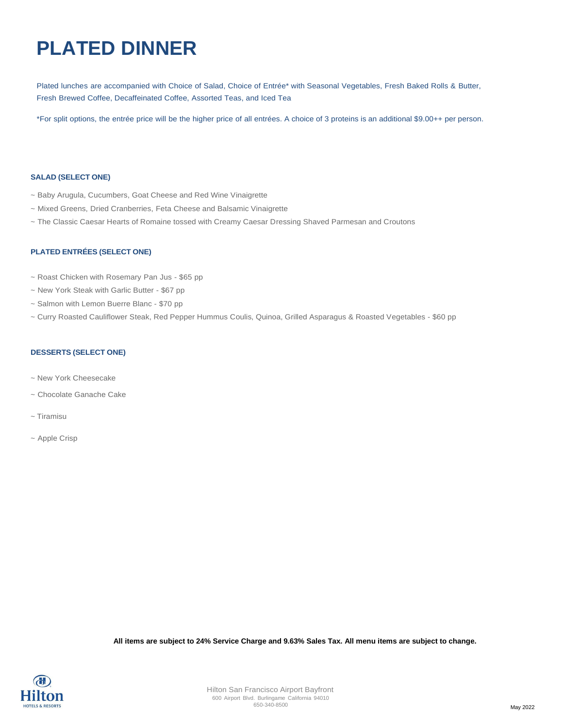## **PLATED DINNER**

Plated lunches are accompanied with Choice of Salad, Choice of Entrée\* with Seasonal Vegetables, Fresh Baked Rolls & Butter, Fresh Brewed Coffee, Decaffeinated Coffee, Assorted Teas, and Iced Tea

\*For split options, the entrée price will be the higher price of all entrées. A choice of 3 proteins is an additional \$9.00++ per person.

#### **SALAD (SELECT ONE)**

- ~ Baby Arugula, Cucumbers, Goat Cheese and Red Wine Vinaigrette
- ~ Mixed Greens, Dried Cranberries, Feta Cheese and Balsamic Vinaigrette
- ~ The Classic Caesar Hearts of Romaine tossed with Creamy Caesar Dressing Shaved Parmesan and Croutons

#### **PLATED ENTRÉES (SELECT ONE)**

- ~ Roast Chicken with Rosemary Pan Jus \$65 pp
- ~ New York Steak with Garlic Butter \$67 pp
- ~ Salmon with Lemon Buerre Blanc \$70 pp
- ~ Curry Roasted Cauliflower Steak, Red Pepper Hummus Coulis, Quinoa, Grilled Asparagus & Roasted Vegetables \$60 pp

#### **DESSERTS (SELECT ONE)**

- ~ New York Cheesecake
- ~ Chocolate Ganache Cake
- ~ Tiramisu
- ~ Apple Crisp

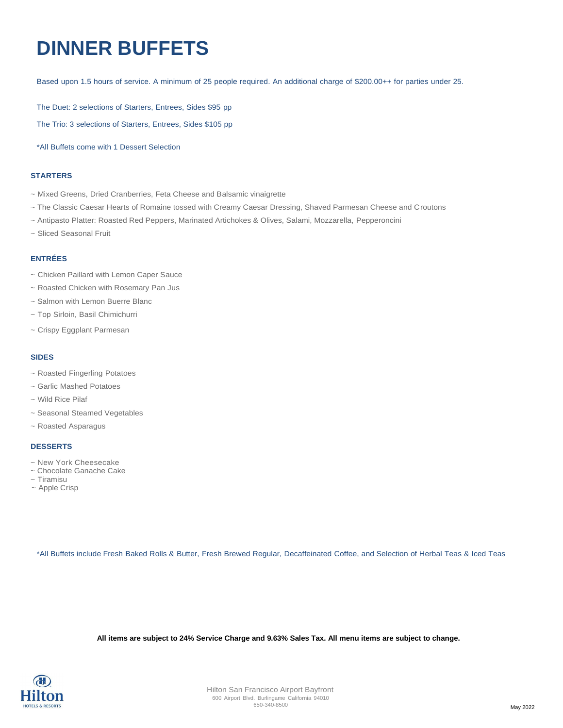## **DINNER BUFFETS**

Based upon 1.5 hours of service. A minimum of 25 people required. An additional charge of \$200.00++ for parties under 25.

The Duet: 2 selections of Starters, Entrees, Sides \$95 pp

The Trio: 3 selections of Starters, Entrees, Sides \$105 pp

\*All Buffets come with 1 Dessert Selection

#### **STARTERS**

- ~ Mixed Greens, Dried Cranberries, Feta Cheese and Balsamic vinaigrette
- ~ The Classic Caesar Hearts of Romaine tossed with Creamy Caesar Dressing, Shaved Parmesan Cheese and Croutons
- ~ Antipasto Platter: Roasted Red Peppers, Marinated Artichokes & Olives, Salami, Mozzarella, Pepperoncini
- ~ Sliced Seasonal Fruit

#### **ENTRÉES**

- ~ Chicken Paillard with Lemon Caper Sauce
- ~ Roasted Chicken with Rosemary Pan Jus
- ~ Salmon with Lemon Buerre Blanc
- ~ Top Sirloin, Basil Chimichurri
- ~ Crispy Eggplant Parmesan

#### **SIDES**

- ~ Roasted Fingerling Potatoes
- ~ Garlic Mashed Potatoes
- ~ Wild Rice Pilaf
- ~ Seasonal Steamed Vegetables
- ~ Roasted Asparagus

#### **DESSERTS**

- ~ New York Cheesecake
- ~ Chocolate Ganache Cake ~ Tiramisu
- ~ Apple Crisp
- 

\*All Buffets include Fresh Baked Rolls & Butter, Fresh Brewed Regular, Decaffeinated Coffee, and Selection of Herbal Teas & Iced Teas

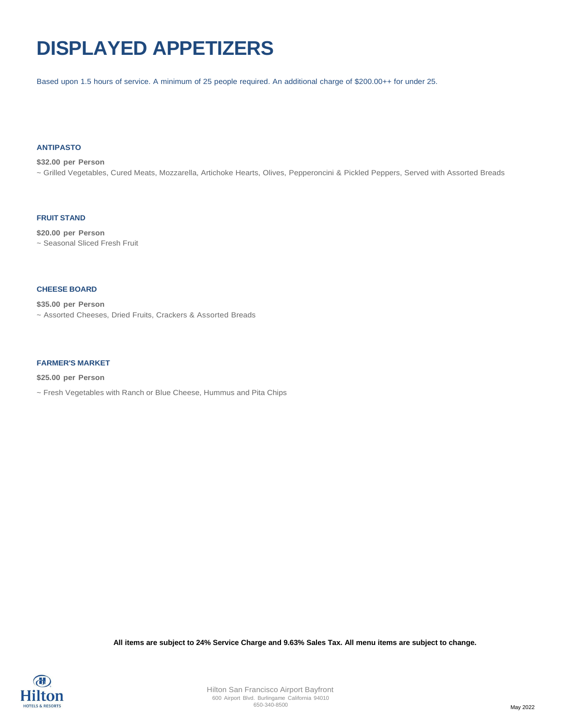## **DISPLAYED APPETIZERS**

Based upon 1.5 hours of service. A minimum of 25 people required. An additional charge of \$200.00++ for under 25.

#### **ANTIPASTO**

**\$32.00 per Person** ~ Grilled Vegetables, Cured Meats, Mozzarella, Artichoke Hearts, Olives, Pepperoncini & Pickled Peppers, Served with Assorted Breads

#### **FRUIT STAND**

**\$20.00 per Person** ~ Seasonal Sliced Fresh Fruit

#### **CHEESE BOARD**

**\$35.00 per Person**

~ Assorted Cheeses, Dried Fruits, Crackers & Assorted Breads

#### **FARMER'S MARKET**

**\$25.00 per Person**

~ Fresh Vegetables with Ranch or Blue Cheese, Hummus and Pita Chips

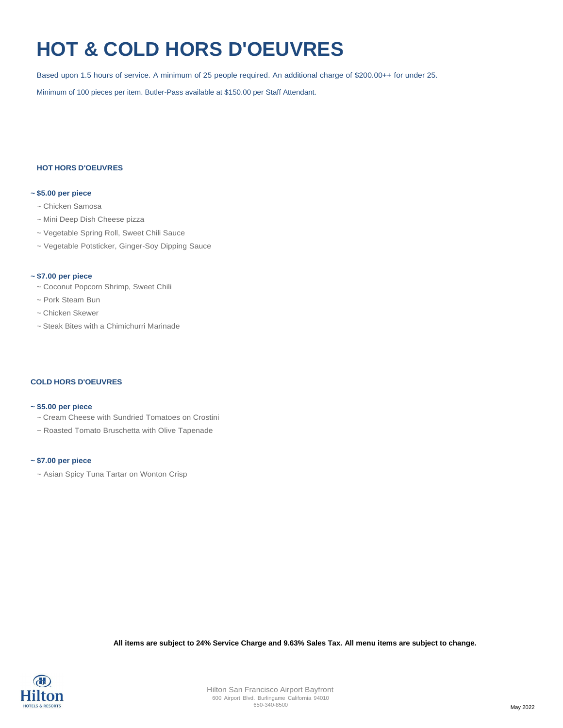## **HOT & COLD HORS D'OEUVRES**

Based upon 1.5 hours of service. A minimum of 25 people required. An additional charge of \$200.00++ for under 25.

Minimum of 100 pieces per item. Butler-Pass available at \$150.00 per Staff Attendant.

#### **HOT HORS D'OEUVRES**

#### **~ \$5.00 per piece**

- ~ Chicken Samosa
- ~ Mini Deep Dish Cheese pizza
- ~ Vegetable Spring Roll, Sweet Chili Sauce
- ~ Vegetable Potsticker, Ginger-Soy Dipping Sauce

#### **~ \$7.00 per piece**

- ~ Coconut Popcorn Shrimp, Sweet Chili
- ~ Pork Steam Bun
- ~ Chicken Skewer
- ~ Steak Bites with a Chimichurri Marinade

#### **COLD HORS D'OEUVRES**

#### **~ \$5.00 per piece**

- ~ Cream Cheese with Sundried Tomatoes on Crostini
- ~ Roasted Tomato Bruschetta with Olive Tapenade

#### **~ \$7.00 per piece**

~ Asian Spicy Tuna Tartar on Wonton Crisp

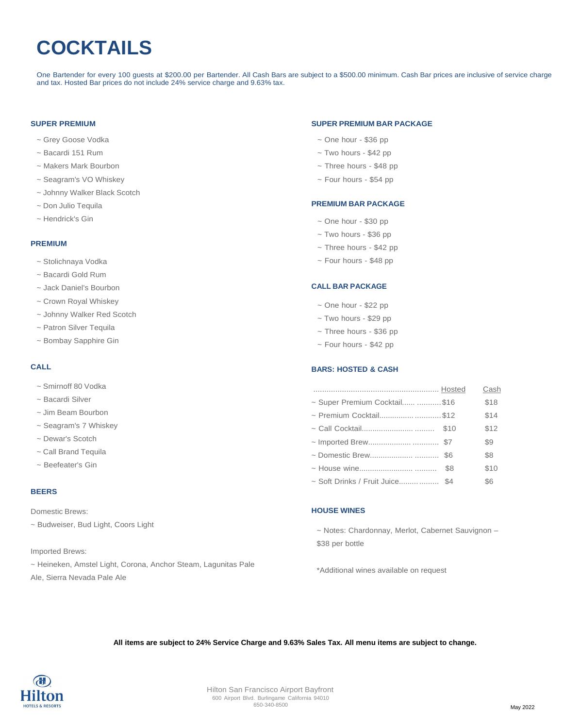# **COCKTAILS**

One Bartender for every 100 guests at \$200.00 per Bartender. All Cash Bars are subject to a \$500.00 minimum. Cash Bar prices are inclusive of service charge and tax. Hosted Bar prices do not include 24% service charge and 9.63% tax.

#### **SUPER PREMIUM**

- ~ Grey Goose Vodka
- ~ Bacardi 151 Rum
- ~ Makers Mark Bourbon
- ~ Seagram's VO Whiskey
- ~ Johnny Walker Black Scotch
- ~ Don Julio Tequila
- ~ Hendrick's Gin

#### **PREMIUM**

- ~ Stolichnaya Vodka
- ~ Bacardi Gold Rum
- ~ Jack Daniel's Bourbon
- ~ Crown Royal Whiskey
- ~ Johnny Walker Red Scotch
- ~ Patron Silver Tequila
- ~ Bombay Sapphire Gin

#### **CALL**

- ~ Smirnoff 80 Vodka
- ~ Bacardi Silver
- ~ Jim Beam Bourbon
- ~ Seagram's 7 Whiskey
- ~ Dewar's Scotch
- ~ Call Brand Tequila
- ~ Beefeater's Gin

#### **BEERS**

Domestic Brews:

~ Budweiser, Bud Light, Coors Light

Imported Brews:

~ Heineken, Amstel Light, Corona, Anchor Steam, Lagunitas Pale Ale, Sierra Nevada Pale Ale

#### **SUPER PREMIUM BAR PACKAGE**

- ~ One hour \$36 pp
- ~ Two hours \$42 pp
- ~ Three hours \$48 pp
- ~ Four hours \$54 pp

#### **PREMIUM BAR PACKAGE**

- ~ One hour \$30 pp
- ~ Two hours \$36 pp
- ~ Three hours \$42 pp
- ~ Four hours \$48 pp

#### **CALL BAR PACKAGE**

- $\sim$  One hour \$22 pp
- ~ Two hours \$29 pp
- ~ Three hours \$36 pp
- ~ Four hours \$42 pp

#### **BARS: HOSTED & CASH**

|                                 |     | Cash |
|---------------------------------|-----|------|
| ~ Super Premium Cocktail \$16   |     | \$18 |
| ~ Premium Cocktail \$12         |     | \$14 |
|                                 |     | \$12 |
|                                 |     | \$9  |
|                                 |     | \$8  |
|                                 | \$8 | \$10 |
| ~ Soft Drinks / Fruit Juice \$4 |     | \$6  |

#### **HOUSE WINES**

~ Notes: Chardonnay, Merlot, Cabernet Sauvignon – \$38 per bottle

\*Additional wines available on request